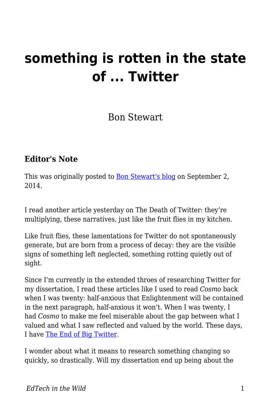# **something is rotten in the state of ... Twitter**

Bon Stewart

#### **Editor's Note**

This was originally posted to **Bon Stewart's blog** on September 2, 2014.

I read another article yesterday on The Death of Twitter: they're multiplying, these narratives, just like the fruit flies in my kitchen.

Like fruit flies, these lamentations for Twitter do not spontaneously generate, but are born from a process of decay: they are the visible signs of something left neglected, something rotting quietly out of sight.

Since I'm currently in the extended throes of researching Twitter for my dissertation, I read these articles like I used to read *Cosmo* back when I was twenty: half-anxious that Enlightenment will be contained in the next paragraph, half-anxious it won't. When I was twenty, I had *Cosmo* to make me feel miserable about the gap between what I valued and what I saw reflected and valued by the world. These days, I have [The End of Big Twitter.](http://text-patterns.thenewatlantis.com/2014/08/the-end-of-big-twitter.html)

I wonder about what it means to research something changing so quickly, so drastically. Will my dissertation end up being about the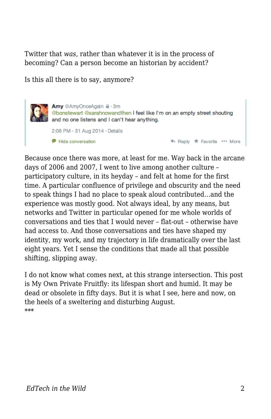Twitter that *was*, rather than whatever it is in the process of becoming? Can a person become an historian by accident?

Is this all there is to say, anymore?

Amy @AmyOnceAgain A . 3m @bonstewart @sarahnowandthen I feel like I'm on an empty street shouting and no one listens and I can't hear anything. 2:06 PM - 31 Aug 2014 · Details ← Reply ★ Favorite \*\*\* More Hide conversation

Because once there was more, at least for me. Way back in the arcane days of 2006 and 2007, I went to live among another culture – participatory culture, in its heyday – and felt at home for the first time. A particular confluence of privilege and obscurity and the need to speak things I had no place to speak aloud contributed…and the experience was mostly good. Not always ideal, by any means, but networks and Twitter in particular opened for me whole worlds of conversations and ties that I would never – flat-out – otherwise have had access to. And those conversations and ties have shaped my identity, my work, and my trajectory in life dramatically over the last eight years. Yet I sense the conditions that made all that possible shifting, slipping away.

I do not know what comes next, at this strange intersection. This post is My Own Private Fruitfly: its lifespan short and humid. It may be dead or obsolete in fifty days. But it is what I see, here and now, on the heels of a sweltering and disturbing August. \*\*\*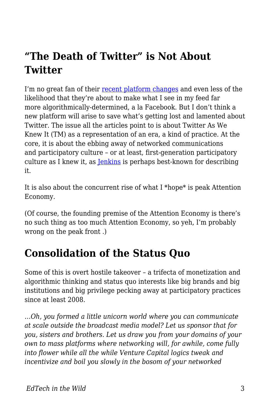## **"The Death of Twitter" is Not About Twitter**

I'm no great fan of their [recent platform changes](http://www.theatlantic.com/technology/archive/2014/08/twitter-starts-to-change-the-central-logic-of-its-service/378650/) and even less of the likelihood that they're about to make what I see in my feed far more algorithmically-determined, a la Facebook. But I don't think a new platform will arise to save what's getting lost and lamented about Twitter. The issue all the articles point to is about Twitter As We Knew It (TM) as a representation of an era, a kind of practice. At the core, it is about the ebbing away of networked communications and participatory culture – or at least, first-generation participatory culture as I knew it, as **Jenkins** is perhaps best-known for describing it.

It is also about the concurrent rise of what I \*hope\* is peak Attention Economy.

(Of course, the founding premise of the Attention Economy is there's no such thing as too much Attention Economy, so yeh, I'm probably wrong on the peak front .)

#### **Consolidation of the Status Quo**

Some of this is overt hostile takeover – a trifecta of monetization and algorithmic thinking and status quo interests like big brands and big institutions and big privilege pecking away at participatory practices since at least 2008.

…*Oh, you formed a little unicorn world where you can communicate at scale outside the broadcast media model? Let us sponsor that for you, sisters and brothers. Let us draw you from your domains of your own to mass platforms where networking will, for awhile, come fully into flower while all the while Venture Capital logics tweak and incentivize and boil you slowly in the bosom of your networked*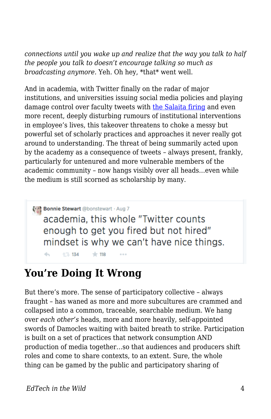*connections until you wake up and realize that the way you talk to half the people you talk to doesn't encourage talking so much as broadcasting anymore.* Yeh. Oh hey, \*that\* went well.

And in academia, with Twitter finally on the radar of major institutions, and universities issuing social media policies and playing damage control over faculty tweets with [the Salaita firing](http://coreyrobin.com/2014/08/31/salaita-by-the-numbers-5-cancelled-lectures-3-votes-of-no-confidence-3849-boycotters-and-1-nyt-article/) and even more recent, deeply disturbing rumours of institutional interventions in employee's lives, this takeover threatens to choke a messy but powerful set of scholarly practices and approaches it never really got around to understanding. The threat of being summarily acted upon by the academy as a consequence of tweets – always present, frankly, particularly for untenured and more vulnerable members of the academic community – now hangs visibly over all heads…even while the medium is still scorned as scholarship by many.

Bonnie Stewart @bonstewart · Aug 7 academia, this whole "Twitter counts enough to get you fired but not hired" mindset is why we can't have nice things. 七飞 134 六 118

### **You're Doing It Wrong**

But there's more. The sense of participatory collective – always fraught – has waned as more and more subcultures are crammed and collapsed into a common, traceable, searchable medium. We hang over *each other's* heads, more and more heavily, self-appointed swords of Damocles waiting with baited breath to strike. Participation is built on a set of practices that network consumption AND production of media together…so that audiences and producers shift roles and come to share contexts, to an extent. Sure, the whole thing can be gamed by the public and participatory sharing of

 $\leftarrow$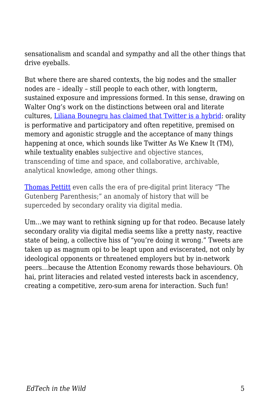sensationalism and scandal and sympathy and all the other things that drive eyeballs.

But where there are shared contexts, the big nodes and the smaller nodes are – ideally – still people to each other, with longterm, sustained exposure and impressions formed. In this sense, drawing on Walter Ong's work on the distinctions between oral and literate cultures, [Liliana Bounegru has claimed that Twitter is a hybrid:](http://lilianabounegru.org/2009/11/20/secondary-orality-in-microblogging/) orality is performative and participatory and often repetitive, premised on memory and agonistic struggle and the acceptance of many things happening at once, which sounds like Twitter As We Knew It (TM), while textuality enables subjective and objective stances, transcending of time and space, and collaborative, archivable, analytical knowledge, among other things.

[Thomas Pettitt](http://web.mit.edu/comm-forum/forums/gutenberg_parenthesis.html) even calls the era of pre-digital print literacy "The Gutenberg Parenthesis;" an anomaly of history that will be superceded by secondary orality via digital media.

Um…we may want to rethink signing up for that rodeo. Because lately secondary orality via digital media seems like a pretty nasty, reactive state of being, a collective hiss of "you're doing it wrong." Tweets are taken up as magnum opi to be leapt upon and eviscerated, not only by ideological opponents or threatened employers but by in-network peers…because the Attention Economy rewards those behaviours. Oh hai, print literacies and related vested interests back in ascendency, creating a competitive, zero-sum arena for interaction. Such fun!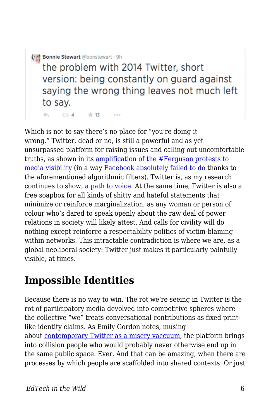Bonnie Stewart @bonstewart . 9h

17 4 末13

 $\leftarrow$ 

the problem with 2014 Twitter, short version: being constantly on guard against saying the wrong thing leaves not much left to say.

 $0.0.0$ 

Which is not to say there's no place for "you're doing it wrong." Twitter, dead or no, is still a powerful and as yet unsurpassed platform for raising issues and calling out uncomfortable truths, as shown in its [amplification of the #Ferguson protests to](https://medium.com/message/ferguson-is-also-a-net-neutrality-issue-6d2f3db51eb0) [media visibility](https://medium.com/message/ferguson-is-also-a-net-neutrality-issue-6d2f3db51eb0) (in a way [Facebook absolutely failed to do](http://www.cbc.ca/news/technology/michael-brown-s-shooting-in-ferguson-lost-on-social-media-1.2740014) thanks to the aforementioned algorithmic filters). Twitter is, as my research continues to show, [a path to voice.](http://theory.cribchronicles.com/2014/07/22/academic-influence-on-twitter-the-findings/) At the same time, Twitter is also a free soapbox for all kinds of shitty and hateful statements that minimize or reinforce marginalization, as any woman or person of colour who's dared to speak openly about the raw deal of power relations in society will likely attest. And calls for civility will do nothing except reinforce a respectability politics of victim-blaming within networks. This intractable contradiction is where we are, as a global neoliberal society: Twitter just makes it particularly painfully visible, at times.

#### **Impossible Identities**

Because there is no way to win. The rot we're seeing in Twitter is the rot of participatory media devolved into competitive spheres where the collective "we" treats conversational contributions as fixed printlike identity claims. As Emily Gordon notes, musing about [contemporary Twitter as a misery vaccuum](http://emilyvgordon.tumblr.com/post/96097636920/twitter), the platform brings into collision people who would probably never otherwise end up in the same public space. Ever. And that can be amazing, when there are processes by which people are scaffolded into shared contexts. Or just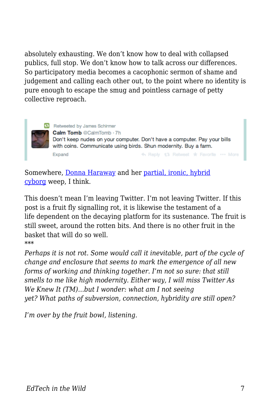absolutely exhausting. We don't know how to deal with collapsed publics, full stop. We don't know how to talk across our differences. So participatory media becomes a cacophonic sermon of shame and judgement and calling each other out, to the point where no identity is pure enough to escape the smug and pointless carnage of petty collective reproach.



**37** Retweeted by James Schirmer Calm Tomb @CalmTomb · 7h Don't keep nudes on your computer. Don't have a computer. Pay your bills with coins. Communicate using birds. Shun modernity. Buy a farm. << Reply 13 Retweet \* Favorite ... More Expand

Somewhere, [Donna Haraway](http://www.egs.edu/faculty/donna-haraway/articles/donna-haraway-a-cyborg-manifesto/) and her [partial, ironic, hybrid](http://theory.cribchronicles.com/2011/02/18/the-branded-cyborg-manifesto-identity-in-the-public-domain/) [cyborg](http://theory.cribchronicles.com/2011/02/18/the-branded-cyborg-manifesto-identity-in-the-public-domain/) weep, I think.

This doesn't mean I'm leaving Twitter. I'm not leaving Twitter. If this post is a fruit fly signalling rot, it is likewise the testament of a life dependent on the decaying platform for its sustenance. The fruit is still sweet, around the rotten bits. And there is no other fruit in the basket that will do so well. \*\*\*

*Perhaps it is not rot. Some would call it inevitable, part of the cycle of change and enclosure that seems to mark the emergence of all new forms of working and thinking together. I'm not so sure: that still smells to me like high modernity. Either way, I will miss Twitter As We Knew It (TM)…but I wonder: what am I not seeing yet? What paths of subversion, connection, hybridity are still open?*

*I'm over by the fruit bowl, listening.*